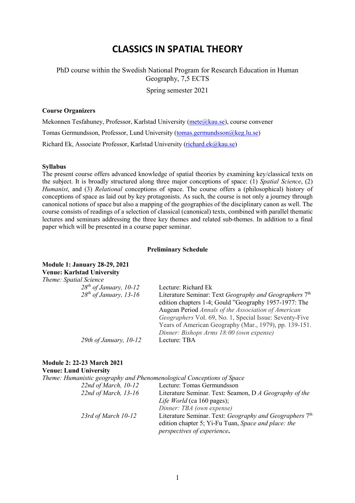# **CLASSICS IN SPATIAL THEORY**

PhD course within the Swedish National Program for Research Education in Human Geography, 7,5 ECTS Spring semester 2021

### **Course Organizers**

Mekonnen Tesfahuney, Professor, Karlstad University (mete $@kau.se$ ), course convener Tomas Germundsson, Professor, Lund University [\(tomas.germundsson@keg.lu.se\)](mailto:tomas.germundsson@keg.lu.se) Richard Ek, Associate Professor, Karlstad University [\(richard.ek@kau.se\)](mailto:richard.ek@kau.se)

#### **Syllabus**

The present course offers advanced knowledge of spatial theories by examining key/classical texts on the subject. It is broadly structured along three major conceptions of space: (1) *Spatial Science*, (2) *Humanist*, and (3) *Relational* conceptions of space. The course offers a (philosophical) history of conceptions of space as laid out by key protagonists. As such, the course is not only a journey through canonical notions of space but also a mapping of the geographies of the disciplinary canon as well. The course consists of readings of a selection of classical (canonical) texts, combined with parallel thematic lectures and seminars addressing the three key themes and related sub-themes. In addition to a final paper which will be presented in a course paper seminar.

#### **Preliminary Schedule**

| <b>Module 1: January 28-29, 2021</b> |                                                                                                                                                                                                                                                                                                                                         |
|--------------------------------------|-----------------------------------------------------------------------------------------------------------------------------------------------------------------------------------------------------------------------------------------------------------------------------------------------------------------------------------------|
| <b>Venue: Karlstad University</b>    |                                                                                                                                                                                                                                                                                                                                         |
| Theme: Spatial Science               |                                                                                                                                                                                                                                                                                                                                         |
| $28th$ of January, 10-12             | Lecture: Richard Ek                                                                                                                                                                                                                                                                                                                     |
| $28th$ of January, 13-16             | Literature Seminar: Text Geography and Geographers 7th<br>edition chapters 1-4; Gould "Geography 1957-1977: The<br>Augean Period Annals of the Association of American<br>Geographers Vol. 69, No. 1, Special Issue: Seventy-Five<br>Years of American Geography (Mar., 1979), pp. 139-151.<br>Dinner: Bishops Arms 18:00 (own expense) |
| 29th of January, $10-12$             | Lecture: TBA                                                                                                                                                                                                                                                                                                                            |
|                                      |                                                                                                                                                                                                                                                                                                                                         |

## **Module 2: 22-23 March 2021 Venue: Lund University**

| Theme: Humanistic geography and Phenomenological Conceptions of Space |                                                         |
|-----------------------------------------------------------------------|---------------------------------------------------------|
| $22nd$ of March, $10-12$                                              | Lecture: Tomas Germundsson                              |
| $22nd$ of March, 13-16                                                | Literature Seminar. Text: Seamon, D A Geography of the  |
|                                                                       | Life World (ca 160 pages);                              |
|                                                                       | Dinner: TBA (own expense)                               |
| 23rd of March 10-12                                                   | Literature Seminar. Text: Geography and Geographers 7th |
|                                                                       | edition chapter 5; Yi-Fu Tuan, Space and place: the     |
|                                                                       | perspectives of experience.                             |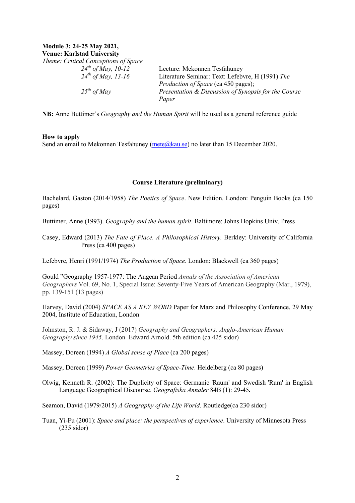#### **Module 3: 24-25 May 2021, Venue: Karlstad University**

| venue: Karistad University           |                                                      |
|--------------------------------------|------------------------------------------------------|
| Theme: Critical Conceptions of Space |                                                      |
| $24^{th}$ of May, 10-12              | Lecture: Mekonnen Tesfahuney                         |
| $24^{th}$ of May, 13-16              | Literature Seminar: Text: Lefebvre, H (1991) The     |
|                                      | <i>Production of Space</i> (ca 450 pages);           |
| $25^{th}$ of May                     | Presentation & Discussion of Synopsis for the Course |
|                                      | Paper                                                |

**NB:** Anne Buttimer's *Geography and the Human Spirit* will be used as a general reference guide

#### **How to apply**

Send an email to Mekonnen Tesfahuney [\(mete@kau.se\)](mailto:mete@kau.se) no later than 15 December 2020.

## **Course Literature (preliminary)**

Bachelard, Gaston (2014/1958) *The Poetics of Space*. New Edition. London: Penguin Books (ca 150 pages)

Buttimer, Anne (1993). *Geography and the human spirit*. Baltimore: Johns Hopkins Univ. Press

Casey, Edward (2013) *The Fate of Place. A Philosophical History.* Berkley: University of California Press (ca 400 pages)

Lefebvre, Henri (1991/1974) *The Production of Space*. London: Blackwell (ca 360 pages)

Gould "Geography 1957-1977: The Augean Period *Annals of the Association of American Geographers* Vol. 69, No. 1, Special Issue: Seventy-Five Years of American Geography (Mar., 1979), pp. 139-151 (13 pages)

Harvey, David (2004) *SPACE AS A KEY WORD* Paper for Marx and Philosophy Conference, 29 May 2004, Institute of Education, London

Johnston, R. J. & Sidaway, J (2017) *Geography and Geographers: Anglo-American Human Geography since 1945*. London Edward Arnold. 5th edition (ca 425 sidor)

Massey, Doreen (1994) *A Global sense of Place* (ca 200 pages)

Massey, Doreen (1999) *Power Geometries of Space-Time*. Heidelberg (ca 80 pages)

Olwig, Kenneth R. (2002): The Duplicity of Space: Germanic 'Raum' and Swedish 'Rum' in English Language Geographical Discourse. *Geografiska Annaler* 84B (1): 29-45*.*

Seamon, David (1979/2015) *A Geography of the Life World.* Routledge(ca 230 sidor)

Tuan, Yi-Fu (2001): *Space and place: the perspectives of experience*. University of Minnesota Press (235 sidor)